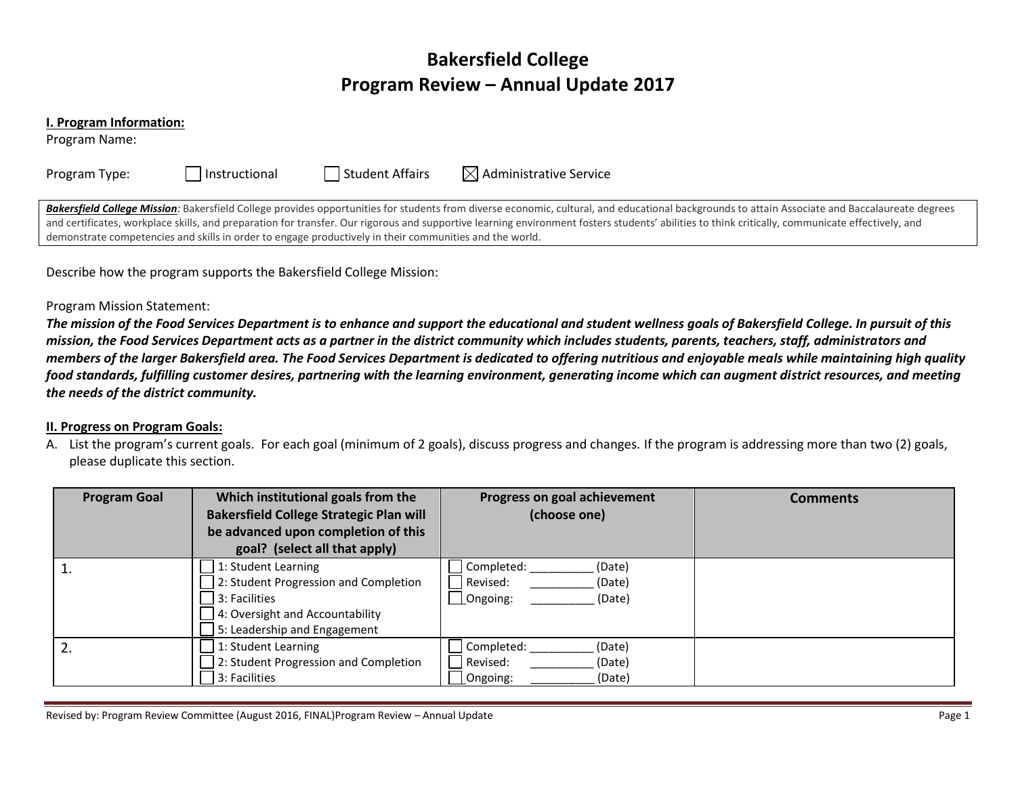# **Bakersfield College Program Review – Annual Update 2017**

#### **I. Program Information:**

Program Name:

| Program Type: |  |
|---------------|--|
|---------------|--|

Instructional  $\Box$  Student Affairs  $\Box$  Administrative Service

Bakersfield College Mission: Bakersfield College provides opportunities for students from diverse economic, cultural, and educational backgrounds to attain Associate and Baccalaureate degrees and certificates, workplace skills, and preparation for transfer. Our rigorous and supportive learning environment fosters students' abilities to think critically, communicate effectively, and demonstrate competencies and skills in order to engage productively in their communities and the world.

Describe how the program supports the Bakersfield College Mission:

## Program Mission Statement:

*The mission of the Food Services Department is to enhance and support the educational and student wellness goals of Bakersfield College. In pursuit of this mission, the Food Services Department acts as a partner in the district community which includes students, parents, teachers, staff, administrators and members of the larger Bakersfield area. The Food Services Department is dedicated to offering nutritious and enjoyable meals while maintaining high quality food standards, fulfilling customer desires, partnering with the learning environment, generating income which can augment district resources, and meeting the needs of the district community.*

### **II. Progress on Program Goals:**

A. List the program's current goals. For each goal (minimum of 2 goals), discuss progress and changes. If the program is addressing more than two (2) goals, please duplicate this section.

| <b>Program Goal</b> | Which institutional goals from the<br><b>Bakersfield College Strategic Plan will</b><br>be advanced upon completion of this<br>goal? (select all that apply) | Progress on goal achievement<br>(choose one)                     | <b>Comments</b> |
|---------------------|--------------------------------------------------------------------------------------------------------------------------------------------------------------|------------------------------------------------------------------|-----------------|
|                     | 1: Student Learning<br>2: Student Progression and Completion<br>3: Facilities<br>4: Oversight and Accountability<br>5: Leadership and Engagement             | Completed:<br>(Date)<br>Revised:<br>(Date)<br>Ongoing:<br>(Date) |                 |
| 2.                  | 1: Student Learning<br>2: Student Progression and Completion<br>3: Facilities                                                                                | Completed:<br>(Date)<br>Revised:<br>(Date)<br>Ongoing:<br>(Date) |                 |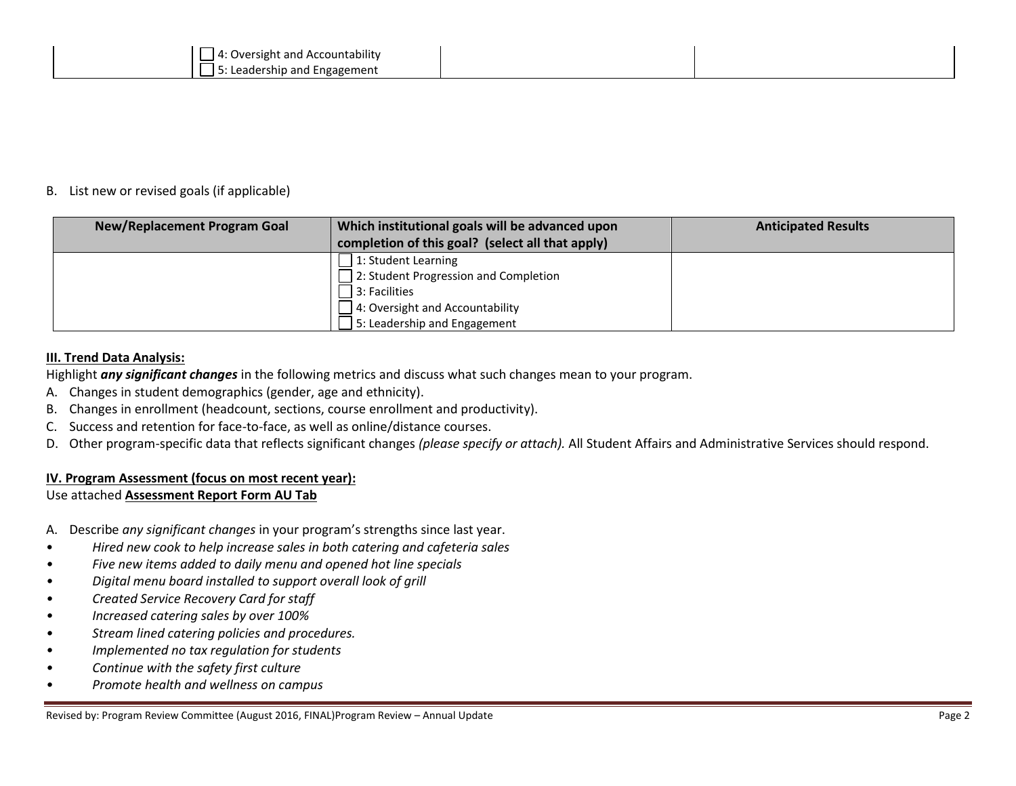#### B. List new or revised goals (if applicable)

| New/Replacement Program Goal | Which institutional goals will be advanced upon  | <b>Anticipated Results</b> |
|------------------------------|--------------------------------------------------|----------------------------|
|                              | completion of this goal? (select all that apply) |                            |
|                              | 1: Student Learning                              |                            |
|                              | 2: Student Progression and Completion            |                            |
|                              | 3: Facilities                                    |                            |
|                              | 4: Oversight and Accountability                  |                            |
|                              | 5: Leadership and Engagement                     |                            |

#### **III. Trend Data Analysis:**

Highlight *any significant changes* in the following metrics and discuss what such changes mean to your program.

- A. Changes in student demographics (gender, age and ethnicity).
- B. Changes in enrollment (headcount, sections, course enrollment and productivity).
- C. Success and retention for face-to-face, as well as online/distance courses.
- D. Other program-specific data that reflects significant changes *(please specify or attach).* All Student Affairs and Administrative Services should respond.

### **IV. Program Assessment (focus on most recent year):**

### Use attached **Assessment Report Form AU Tab**

A. Describe *any significant changes* in your program's strengths since last year.

- *Hired new cook to help increase sales in both catering and cafeteria sales*
- *• Five new items added to daily menu and opened hot line specials*
- *• Digital menu board installed to support overall look of grill*
- *• Created Service Recovery Card for staff*
- *• Increased catering sales by over 100%*
- *• Stream lined catering policies and procedures.*
- *• Implemented no tax regulation for students*
- *• Continue with the safety first culture*
- *• Promote health and wellness on campus*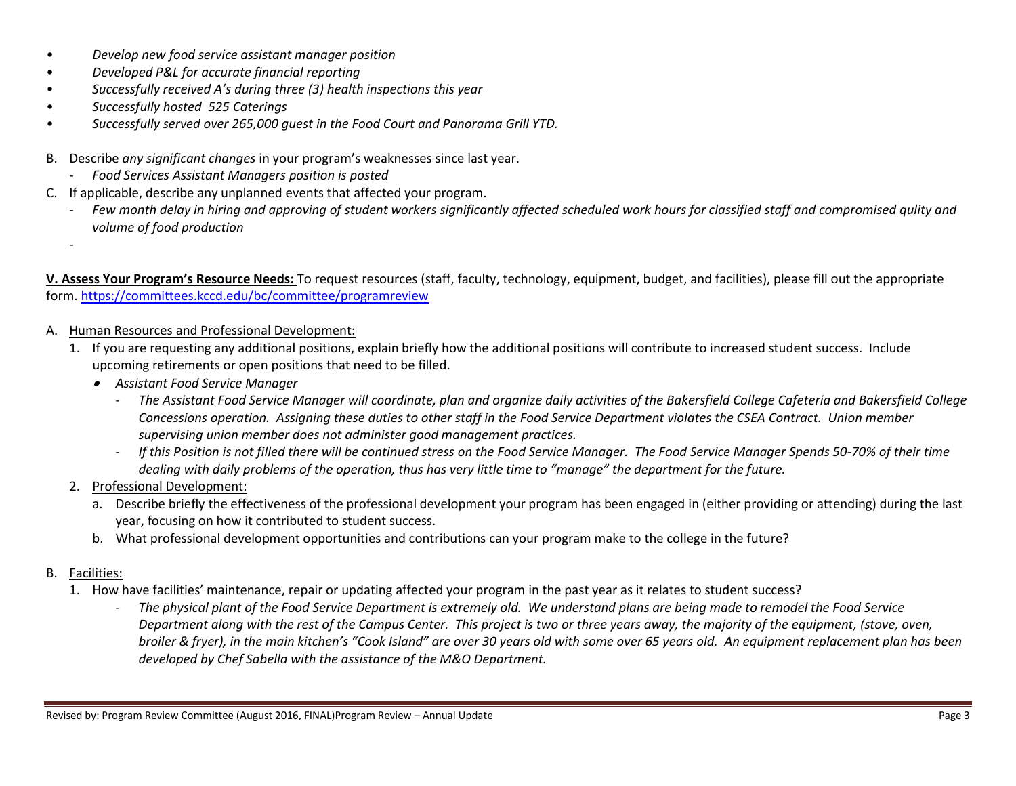- *• Develop new food service assistant manager position*
- *• Developed P&L for accurate financial reporting*
- *• Successfully received A's during three (3) health inspections this year*
- *• Successfully hosted 525 Caterings*
- *• Successfully served over 265,000 guest in the Food Court and Panorama Grill YTD.*
- B. Describe *any significant changes* in your program's weaknesses since last year.
	- *Food Services Assistant Managers position is posted*
- C. If applicable, describe any unplanned events that affected your program.
	- Few month delay in hiring and approving of student workers significantly affected scheduled work hours for classified staff and compromised qulity and *volume of food production*

**V. Assess Your Program's Resource Needs:** To request resources (staff, faculty, technology, equipment, budget, and facilities), please fill out the appropriate form.<https://committees.kccd.edu/bc/committee/programreview>

- A. Human Resources and Professional Development:
	- 1. If you are requesting any additional positions, explain briefly how the additional positions will contribute to increased student success. Include upcoming retirements or open positions that need to be filled.
		- *Assistant Food Service Manager*
			- *The Assistant Food Service Manager will coordinate, plan and organize daily activities of the Bakersfield College Cafeteria and Bakersfield College Concessions operation. Assigning these duties to other staff in the Food Service Department violates the CSEA Contract. Union member supervising union member does not administer good management practices.*
			- *If this Position is not filled there will be continued stress on the Food Service Manager. The Food Service Manager Spends 50-70% of their time dealing with daily problems of the operation, thus has very little time to "manage" the department for the future.*
	- 2. Professional Development:
		- a. Describe briefly the effectiveness of the professional development your program has been engaged in (either providing or attending) during the last year, focusing on how it contributed to student success.
		- b. What professional development opportunities and contributions can your program make to the college in the future?
- B. Facilities:

-

- 1. How have facilities' maintenance, repair or updating affected your program in the past year as it relates to student success?
	- *The physical plant of the Food Service Department is extremely old. We understand plans are being made to remodel the Food Service Department along with the rest of the Campus Center. This project is two or three years away, the majority of the equipment, (stove, oven, broiler & fryer), in the main kitchen's "Cook Island" are over 30 years old with some over 65 years old. An equipment replacement plan has been developed by Chef Sabella with the assistance of the M&O Department.*